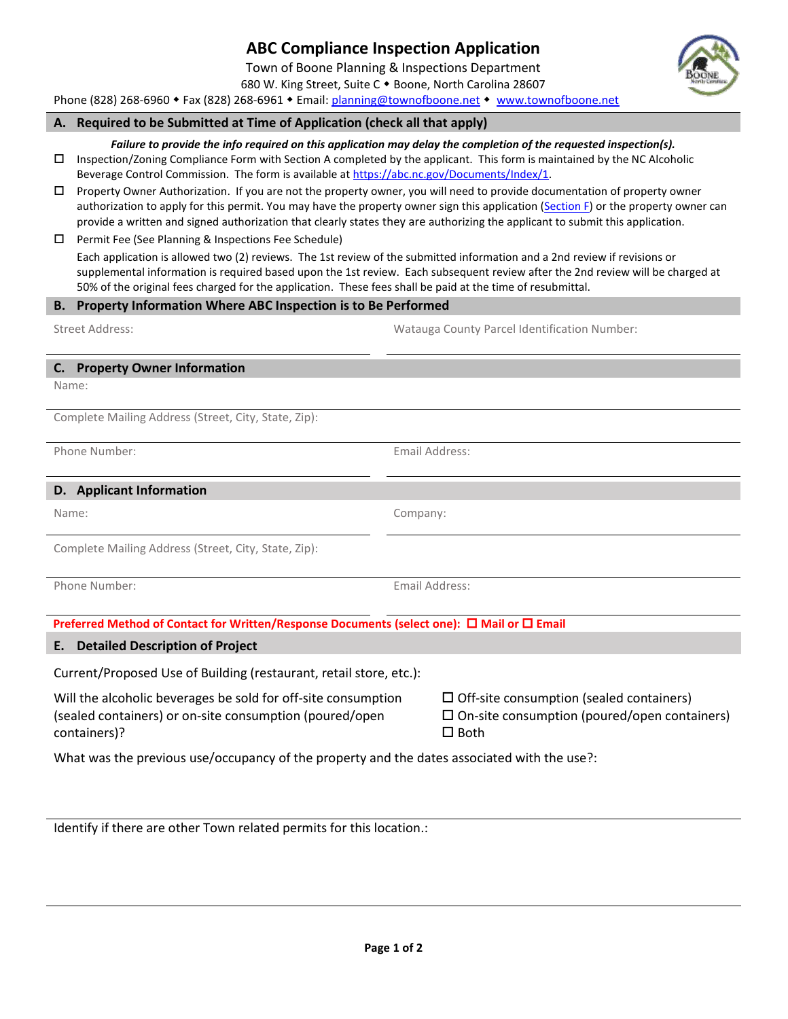## 680 W. King Street, Suite C . Boone, North Carolina 28607 Phone (828) 268-6960 • Fax (828) 268-6961 • Email: [planning@townofboone.net](mailto:planning@townofboone.net) • [www.townofboone.net](http://www.townofboone.net/)

**ABC Compliance Inspection Application** Town of Boone Planning & Inspections Department

# **A. Required to be Submitted at Time of Application (check all that apply)**

#### *Failure to provide the info required on this application may delay the completion of the requested inspection(s).*

 $\Box$  Inspection/Zoning Compliance Form with Section A completed by the applicant. This form is maintained by the NC Alcoholic Beverage Control Commission. The form is available at https://abc.nc.gov/Documents/Index/1.

- Property Owner Authorization. If you are not the property owner, you will need to provide documentation of property owner authorization to apply for this permit. You may have the property owner sign this application [\(Section F\)](#page-1-0) or the property owner can provide a written and signed authorization that clearly states they are authorizing the applicant to submit this application.
- □ Permit Fee (See Planning & Inspections Fee Schedule)

Each application is allowed two (2) reviews. The 1st review of the submitted information and a 2nd review if revisions or supplemental information is required based upon the 1st review. Each subsequent review after the 2nd review will be charged at 50% of the original fees charged for the application. These fees shall be paid at the time of resubmittal.

## **B. Property Information Where ABC Inspection is to Be Performed**

Street Address: Watauga County Parcel Identification Number:

## **C. Property Owner Information**

Name:

Complete Mailing Address (Street, City, State, Zip):

Phone Number: Email Address:

#### **D. Applicant Information**

Complete Mailing Address (Street, City, State, Zip):

| Phone Number: |
|---------------|
|               |

**Email Address:** 

**Preferred Method of Contact for Written/Response Documents (select one): □ Mail or □ Email** 

#### **E. Detailed Description of Project**

Current/Proposed Use of Building (restaurant, retail store, etc.):

Will the alcoholic beverages be sold for off-site consumption (sealed containers) or on-site consumption (poured/open containers)?

 $\Box$  Off-site consumption (sealed containers)  $\square$  On-site consumption (poured/open containers)  $\Box$  Both

What was the previous use/occupancy of the property and the dates associated with the use?:

Identify if there are other Town related permits for this location.:



Name: Company: